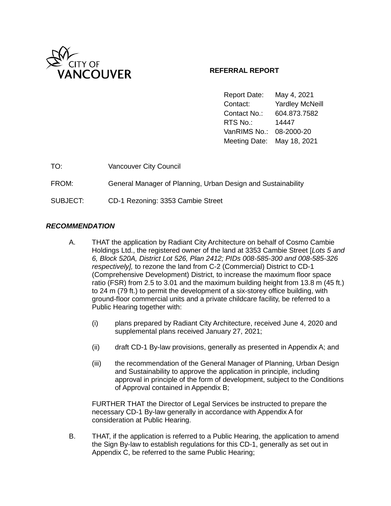

## **REFERRAL REPORT**

Report Date: May 4, 2021 Contact: Yardley McNeill Contact No.: 604.873.7582 RTS No.: 14447 VanRIMS No.: 08-2000-20 Meeting Date: May 18, 2021

| TO:      | <b>Vancouver City Council</b>                                |
|----------|--------------------------------------------------------------|
| FROM:    | General Manager of Planning, Urban Design and Sustainability |
| SUBJECT: | CD-1 Rezoning: 3353 Cambie Street                            |

### *RECOMMENDATION*

- A. THAT the application by Radiant City Architecture on behalf of Cosmo Cambie Holdings Ltd., the registered owner of the land at 3353 Cambie Street [*Lots 5 and 6, Block 520A, District Lot 526, Plan 2412; PIDs 008-585-300 and 008-585-326 respectively],* to rezone the land from C-2 (Commercial) District to CD-1 (Comprehensive Development) District, to increase the maximum floor space ratio (FSR) from 2.5 to 3.01 and the maximum building height from 13.8 m (45 ft.) to 24 m (79 ft.) to permit the development of a six-storey office building, with ground-floor commercial units and a private childcare facility, be referred to a Public Hearing together with:
	- (i) plans prepared by Radiant City Architecture, received June 4, 2020 and supplemental plans received January 27, 2021;
	- (ii) draft CD-1 By-law provisions, generally as presented in Appendix A; and
	- (iii) the recommendation of the General Manager of Planning, Urban Design and Sustainability to approve the application in principle, including approval in principle of the form of development, subject to the Conditions of Approval contained in Appendix B;

FURTHER THAT the Director of Legal Services be instructed to prepare the necessary CD-1 By-law generally in accordance with Appendix A for consideration at Public Hearing.

B. THAT, if the application is referred to a Public Hearing, the application to amend the Sign By-law to establish regulations for this CD-1, generally as set out in Appendix C, be referred to the same Public Hearing;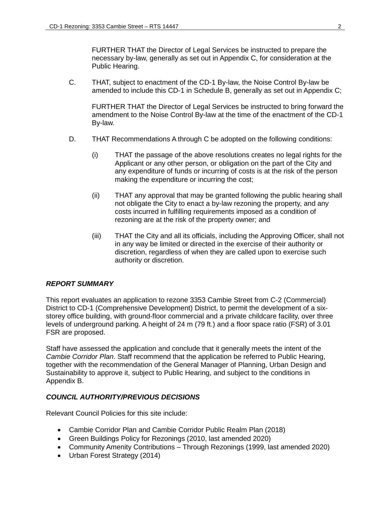FURTHER THAT the Director of Legal Services be instructed to prepare the necessary by-law, generally as set out in Appendix C, for consideration at the Public Hearing.

C. THAT, subject to enactment of the CD-1 By-law, the Noise Control By-law be amended to include this CD-1 in Schedule B, generally as set out in Appendix C;

FURTHER THAT the Director of Legal Services be instructed to bring forward the amendment to the Noise Control By-law at the time of the enactment of the CD-1 By-law.

- D. THAT Recommendations A through C be adopted on the following conditions:
	- (i) THAT the passage of the above resolutions creates no legal rights for the Applicant or any other person, or obligation on the part of the City and any expenditure of funds or incurring of costs is at the risk of the person making the expenditure or incurring the cost;
	- (ii) THAT any approval that may be granted following the public hearing shall not obligate the City to enact a by-law rezoning the property, and any costs incurred in fulfilling requirements imposed as a condition of rezoning are at the risk of the property owner; and
	- (iii) THAT the City and all its officials, including the Approving Officer, shall not in any way be limited or directed in the exercise of their authority or discretion, regardless of when they are called upon to exercise such authority or discretion.

## *REPORT SUMMARY*

This report evaluates an application to rezone 3353 Cambie Street from C-2 (Commercial) District to CD-1 (Comprehensive Development) District, to permit the development of a sixstorey office building, with ground-floor commercial and a private childcare facility, over three levels of underground parking. A height of 24 m (79 ft.) and a floor space ratio (FSR) of 3.01 FSR are proposed.

Staff have assessed the application and conclude that it generally meets the intent of the *Cambie Corridor Plan*. Staff recommend that the application be referred to Public Hearing, together with the recommendation of the General Manager of Planning, Urban Design and Sustainability to approve it, subject to Public Hearing, and subject to the conditions in Appendix B.

#### *COUNCIL AUTHORITY/PREVIOUS DECISIONS*

Relevant Council Policies for this site include:

- Cambie Corridor Plan and Cambie Corridor Public Realm Plan (2018)
- Green Buildings Policy for Rezonings (2010, last amended 2020)
- Community Amenity Contributions Through Rezonings (1999, last amended 2020)
- Urban Forest Strategy (2014)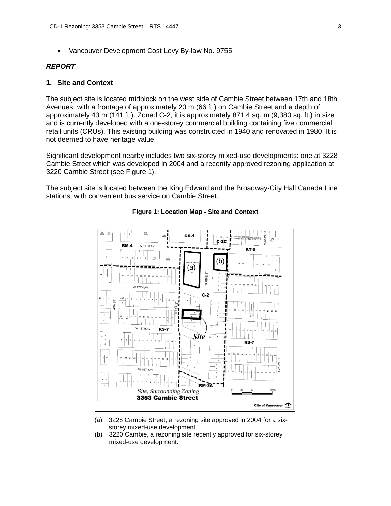• Vancouver Development Cost Levy By-law No. 9755

#### *REPORT*

#### **1. Site and Context**

The subject site is located midblock on the west side of Cambie Street between 17th and 18th Avenues, with a frontage of approximately 20 m (66 ft.) on Cambie Street and a depth of approximately 43 m (141 ft.). Zoned C-2, it is approximately 871.4 sq. m (9,380 sq. ft.) in size and is currently developed with a one-storey commercial building containing five commercial retail units (CRUs). This existing building was constructed in 1940 and renovated in 1980. It is not deemed to have heritage value.

Significant development nearby includes two six-storey mixed-use developments: one at 3228 Cambie Street which was developed in 2004 and a recently approved rezoning application at 3220 Cambie Street (see Figure 1).

The subject site is located between the King Edward and the Broadway-City Hall Canada Line stations, with convenient bus service on Cambie Street.



#### **Figure 1: Location Map - Site and Context**

- (a) 3228 Cambie Street, a rezoning site approved in 2004 for a sixstorey mixed-use development.
- (b) 3220 Cambie, a rezoning site recently approved for six-storey mixed-use development.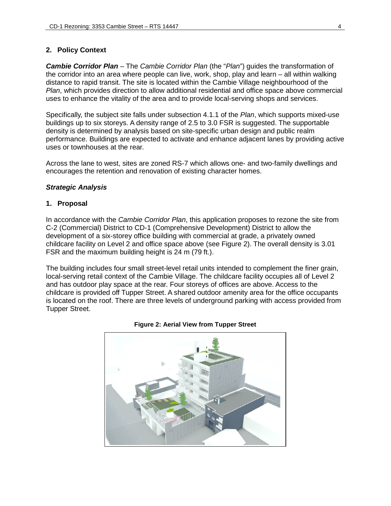#### **2. Policy Context**

*Cambie Corridor Plan* – The *Cambie Corridor Plan* (the "*Plan*") guides the transformation of the corridor into an area where people can live, work, shop, play and learn – all within walking distance to rapid transit. The site is located within the Cambie Village neighbourhood of the *Plan*, which provides direction to allow additional residential and office space above commercial uses to enhance the vitality of the area and to provide local-serving shops and services.

Specifically, the subject site falls under subsection 4.1.1 of the *Plan*, which supports mixed-use buildings up to six storeys. A density range of 2.5 to 3.0 FSR is suggested. The supportable density is determined by analysis based on site-specific urban design and public realm performance. Buildings are expected to activate and enhance adjacent lanes by providing active uses or townhouses at the rear.

Across the lane to west, sites are zoned RS-7 which allows one- and two-family dwellings and encourages the retention and renovation of existing character homes.

#### *Strategic Analysis*

#### **1. Proposal**

In accordance with the *Cambie Corridor Plan*, this application proposes to rezone the site from C-2 (Commercial) District to CD-1 (Comprehensive Development) District to allow the development of a six-storey office building with commercial at grade, a privately owned childcare facility on Level 2 and office space above (see Figure 2). The overall density is 3.01 FSR and the maximum building height is 24 m (79 ft.).

The building includes four small street-level retail units intended to complement the finer grain, local-serving retail context of the Cambie Village. The childcare facility occupies all of Level 2 and has outdoor play space at the rear. Four storeys of offices are above. Access to the childcare is provided off Tupper Street. A shared outdoor amenity area for the office occupants is located on the roof. There are three levels of underground parking with access provided from Tupper Street.



#### **Figure 2: Aerial View from Tupper Street**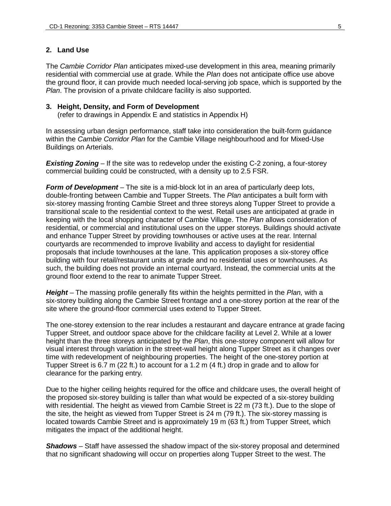## **2. Land Use**

The *Cambie Corridor Plan* anticipates mixed-use development in this area, meaning primarily residential with commercial use at grade. While the *Plan* does not anticipate office use above the ground floor, it can provide much needed local-serving job space, which is supported by the *Plan*. The provision of a private childcare facility is also supported.

#### **3. Height, Density, and Form of Development**

(refer to drawings in Appendix E and statistics in Appendix H)

In assessing urban design performance, staff take into consideration the built-form guidance within the *Cambie Corridor Plan* for the Cambie Village neighbourhood and for Mixed-Use Buildings on Arterials.

**Existing Zoning** – If the site was to redevelop under the existing C-2 zoning, a four-storey commercial building could be constructed, with a density up to 2.5 FSR.

*Form of Development* – The site is a mid-block lot in an area of particularly deep lots, double-fronting between Cambie and Tupper Streets. The *Plan* anticipates a built form with six-storey massing fronting Cambie Street and three storeys along Tupper Street to provide a transitional scale to the residential context to the west. Retail uses are anticipated at grade in keeping with the local shopping character of Cambie Village. The *Plan* allows consideration of residential, or commercial and institutional uses on the upper storeys. Buildings should activate and enhance Tupper Street by providing townhouses or active uses at the rear. Internal courtyards are recommended to improve livability and access to daylight for residential proposals that include townhouses at the lane. This application proposes a six-storey office building with four retail/restaurant units at grade and no residential uses or townhouses. As such, the building does not provide an internal courtyard. Instead, the commercial units at the ground floor extend to the rear to animate Tupper Street.

*Height* – The massing profile generally fits within the heights permitted in the *Plan,* with a six-storey building along the Cambie Street frontage and a one-storey portion at the rear of the site where the ground-floor commercial uses extend to Tupper Street.

The one-storey extension to the rear includes a restaurant and daycare entrance at grade facing Tupper Street, and outdoor space above for the childcare facility at Level 2. While at a lower height than the three storeys anticipated by the *Plan*, this one-storey component will allow for visual interest through variation in the street-wall height along Tupper Street as it changes over time with redevelopment of neighbouring properties. The height of the one-storey portion at Tupper Street is 6.7 m (22 ft.) to account for a 1.2 m (4 ft.) drop in grade and to allow for clearance for the parking entry.

Due to the higher ceiling heights required for the office and childcare uses, the overall height of the proposed six-storey building is taller than what would be expected of a six-storey building with residential. The height as viewed from Cambie Street is 22 m (73 ft.). Due to the slope of the site, the height as viewed from Tupper Street is 24 m (79 ft.). The six-storey massing is located towards Cambie Street and is approximately 19 m (63 ft.) from Tupper Street, which mitigates the impact of the additional height.

*Shadows* – Staff have assessed the shadow impact of the six-storey proposal and determined that no significant shadowing will occur on properties along Tupper Street to the west. The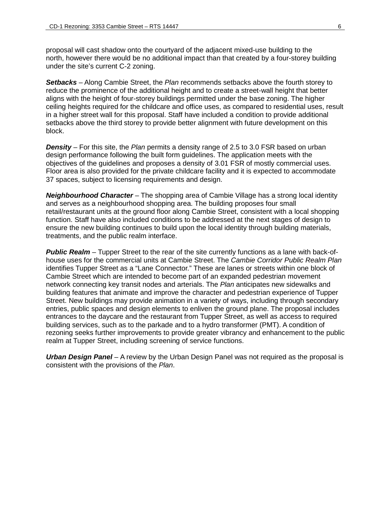proposal will cast shadow onto the courtyard of the adjacent mixed-use building to the north, however there would be no additional impact than that created by a four-storey building under the site's current C-2 zoning.

*Setbacks* – Along Cambie Street, the *Plan* recommends setbacks above the fourth storey to reduce the prominence of the additional height and to create a street-wall height that better aligns with the height of four-storey buildings permitted under the base zoning. The higher ceiling heights required for the childcare and office uses, as compared to residential uses, result in a higher street wall for this proposal. Staff have included a condition to provide additional setbacks above the third storey to provide better alignment with future development on this block.

*Density* – For this site, the *Plan* permits a density range of 2.5 to 3.0 FSR based on urban design performance following the built form guidelines. The application meets with the objectives of the guidelines and proposes a density of 3.01 FSR of mostly commercial uses. Floor area is also provided for the private childcare facility and it is expected to accommodate 37 spaces, subject to licensing requirements and design.

*Neighbourhood Character* – The shopping area of Cambie Village has a strong local identity and serves as a neighbourhood shopping area. The building proposes four small retail/restaurant units at the ground floor along Cambie Street, consistent with a local shopping function. Staff have also included conditions to be addressed at the next stages of design to ensure the new building continues to build upon the local identity through building materials, treatments, and the public realm interface.

*Public Realm* – Tupper Street to the rear of the site currently functions as a lane with back-ofhouse uses for the commercial units at Cambie Street. The *Cambie Corridor Public Realm Plan* identifies Tupper Street as a "Lane Connector." These are lanes or streets within one block of Cambie Street which are intended to become part of an expanded pedestrian movement network connecting key transit nodes and arterials. The *Plan* anticipates new sidewalks and building features that animate and improve the character and pedestrian experience of Tupper Street. New buildings may provide animation in a variety of ways, including through secondary entries, public spaces and design elements to enliven the ground plane. The proposal includes entrances to the daycare and the restaurant from Tupper Street, as well as access to required building services, such as to the parkade and to a hydro transformer (PMT). A condition of rezoning seeks further improvements to provide greater vibrancy and enhancement to the public realm at Tupper Street, including screening of service functions.

*Urban Design Panel* – A review by the Urban Design Panel was not required as the proposal is consistent with the provisions of the *Plan*.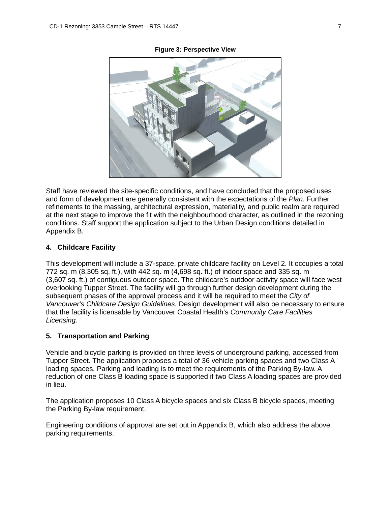

#### **Figure 3: Perspective View**

Staff have reviewed the site-specific conditions, and have concluded that the proposed uses and form of development are generally consistent with the expectations of the *Plan*. Further refinements to the massing, architectural expression, materiality, and public realm are required at the next stage to improve the fit with the neighbourhood character, as outlined in the rezoning conditions. Staff support the application subject to the Urban Design conditions detailed in Appendix B.

#### **4. Childcare Facility**

This development will include a 37-space, private childcare facility on Level 2. It occupies a total 772 sq. m (8,305 sq. ft.), with 442 sq. m (4,698 sq. ft.) of indoor space and 335 sq. m (3,607 sq. ft.) of contiguous outdoor space. The childcare's outdoor activity space will face west overlooking Tupper Street. The facility will go through further design development during the subsequent phases of the approval process and it will be required to meet the *City of Vancouver's Childcare Design Guidelines.* Design development will also be necessary to ensure that the facility is licensable by Vancouver Coastal Health's *Community Care Facilities Licensing.*

#### **5. Transportation and Parking**

Vehicle and bicycle parking is provided on three levels of underground parking, accessed from Tupper Street. The application proposes a total of 36 vehicle parking spaces and two Class A loading spaces. Parking and loading is to meet the requirements of the Parking By-law. A reduction of one Class B loading space is supported if two Class A loading spaces are provided in lieu.

The application proposes 10 Class A bicycle spaces and six Class B bicycle spaces, meeting the Parking By-law requirement.

Engineering conditions of approval are set out in Appendix B, which also address the above parking requirements.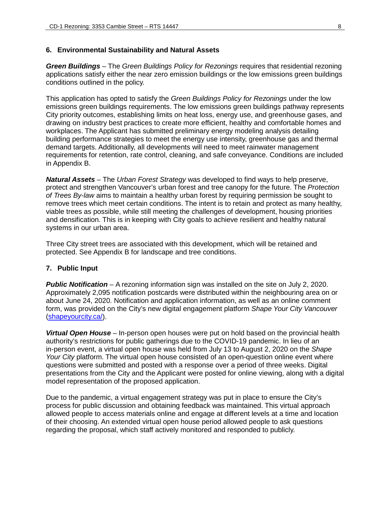#### **6. Environmental Sustainability and Natural Assets**

*Green Buildings –* The *Green Buildings Policy for Rezonings* requires that residential rezoning applications satisfy either the near zero emission buildings or the low emissions green buildings conditions outlined in the policy.

This application has opted to satisfy the *Green Buildings Policy for Rezonings* under the low emissions green buildings requirements. The low emissions green buildings pathway represents City priority outcomes, establishing limits on heat loss, energy use, and greenhouse gases, and drawing on industry best practices to create more efficient, healthy and comfortable homes and workplaces. The Applicant has submitted preliminary energy modeling analysis detailing building performance strategies to meet the energy use intensity, greenhouse gas and thermal demand targets. Additionally, all developments will need to meet rainwater management requirements for retention, rate control, cleaning, and safe conveyance. Conditions are included in Appendix B.

*Natural Assets* – The *Urban Forest Strategy* was developed to find ways to help preserve, protect and strengthen Vancouver's urban forest and tree canopy for the future. The *Protection of Trees By-law* aims to maintain a healthy urban forest by requiring permission be sought to remove trees which meet certain conditions. The intent is to retain and protect as many healthy, viable trees as possible, while still meeting the challenges of development, housing priorities and densification. This is in keeping with City goals to achieve resilient and healthy natural systems in our urban area.

Three City street trees are associated with this development, which will be retained and protected. See Appendix B for landscape and tree conditions.

#### **7. Public Input**

*Public Notification* – A rezoning information sign was installed on the site on July 2, 2020. Approximately 2,095 notification postcards were distributed within the neighbouring area on or about June 24, 2020. Notification and application information, as well as an online comment form, was provided on the City's new digital engagement platform *Shape Your City Vancouver* (shapeyourcity.ca/).

*Virtual Open House* – In-person open houses were put on hold based on the provincial health authority's restrictions for public gatherings due to the COVID-19 pandemic. In lieu of an in-person event, a virtual open house was held from July 13 to August 2, 2020 on the *Shape Your City* platform. The virtual open house consisted of an open-question online event where questions were submitted and posted with a response over a period of three weeks. Digital presentations from the City and the Applicant were posted for online viewing, along with a digital model representation of the proposed application.

Due to the pandemic, a virtual engagement strategy was put in place to ensure the City's process for public discussion and obtaining feedback was maintained. This virtual approach allowed people to access materials online and engage at different levels at a time and location of their choosing. An extended virtual open house period allowed people to ask questions regarding the proposal, which staff actively monitored and responded to publicly.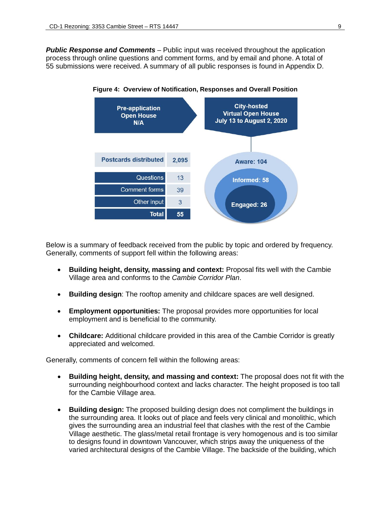*Public Response and Comments* – Public input was received throughout the application process through online questions and comment forms, and by email and phone. A total of 55 submissions were received. A summary of all public responses is found in Appendix D.



**Figure 4: Overview of Notification, Responses and Overall Position**

Below is a summary of feedback received from the public by topic and ordered by frequency. Generally, comments of support fell within the following areas:

- **Building height, density, massing and context:** Proposal fits well with the Cambie Village area and conforms to the *Cambie Corridor Plan*.
- **Building design**: The rooftop amenity and childcare spaces are well designed.
- **Employment opportunities:** The proposal provides more opportunities for local employment and is beneficial to the community.
- **Childcare:** Additional childcare provided in this area of the Cambie Corridor is greatly appreciated and welcomed.

Generally, comments of concern fell within the following areas:

- **Building height, density, and massing and context:** The proposal does not fit with the surrounding neighbourhood context and lacks character. The height proposed is too tall for the Cambie Village area.
- **Building design:** The proposed building design does not compliment the buildings in the surrounding area. It looks out of place and feels very clinical and monolithic, which gives the surrounding area an industrial feel that clashes with the rest of the Cambie Village aesthetic. The glass/metal retail frontage is very homogenous and is too similar to designs found in downtown Vancouver, which strips away the uniqueness of the varied architectural designs of the Cambie Village. The backside of the building, which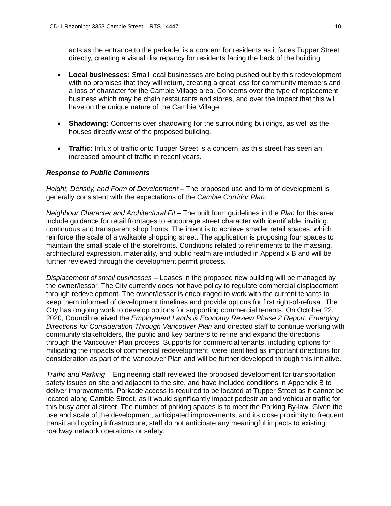acts as the entrance to the parkade, is a concern for residents as it faces Tupper Street directly, creating a visual discrepancy for residents facing the back of the building.

- **Local businesses:** Small local businesses are being pushed out by this redevelopment with no promises that they will return, creating a great loss for community members and a loss of character for the Cambie Village area. Concerns over the type of replacement business which may be chain restaurants and stores, and over the impact that this will have on the unique nature of the Cambie Village.
- **Shadowing:** Concerns over shadowing for the surrounding buildings, as well as the houses directly west of the proposed building.
- **Traffic:** Influx of traffic onto Tupper Street is a concern, as this street has seen an increased amount of traffic in recent years.

#### *Response to Public Comments*

*Height, Density, and Form of Development* – The proposed use and form of development is generally consistent with the expectations of the *Cambie Corridor Plan.*

*Neighbour Character and Architectural Fit* – The built form guidelines in the *Plan* for this area include guidance for retail frontages to encourage street character with identifiable, inviting, continuous and transparent shop fronts. The intent is to achieve smaller retail spaces, which reinforce the scale of a walkable shopping street. The application is proposing four spaces to maintain the small scale of the storefronts. Conditions related to refinements to the massing, architectural expression, materiality, and public realm are included in Appendix B and will be further reviewed through the development permit process.

*Displacement of small businesses* – Leases in the proposed new building will be managed by the owner/lessor. The City currently does not have policy to regulate commercial displacement through redevelopment. The owner/lessor is encouraged to work with the current tenants to keep them informed of development timelines and provide options for first right-of-refusal. The City has ongoing work to develop options for supporting commercial tenants. On October 22, 2020, Council received the *Employment Lands & Economy Review Phase 2 Report: Emerging Directions for Consideration Through Vancouver Plan* and directed staff to continue working with community stakeholders, the public and key partners to refine and expand the directions through the Vancouver Plan process. Supports for commercial tenants, including options for mitigating the impacts of commercial redevelopment, were identified as important directions for consideration as part of the Vancouver Plan and will be further developed through this initiative.

*Traffic and Parking* – Engineering staff reviewed the proposed development for transportation safety issues on site and adjacent to the site, and have included conditions in Appendix B to deliver improvements. Parkade access is required to be located at Tupper Street as it cannot be located along Cambie Street, as it would significantly impact pedestrian and vehicular traffic for this busy arterial street. The number of parking spaces is to meet the Parking By-law. Given the use and scale of the development, anticipated improvements, and its close proximity to frequent transit and cycling infrastructure, staff do not anticipate any meaningful impacts to existing roadway network operations or safety.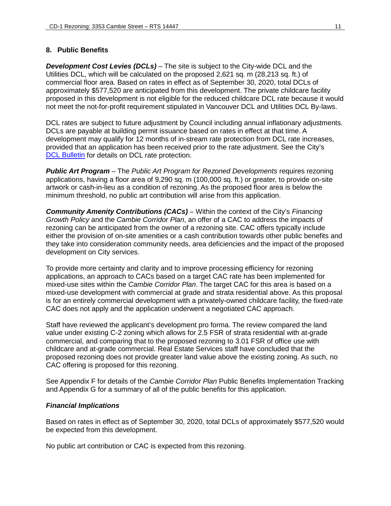### **8. Public Benefits**

*Development Cost Levies (DCLs)* – The site is subject to the City-wide DCL and the Utilities DCL, which will be calculated on the proposed 2,621 sq. m (28,213 sq. ft.) of commercial floor area. Based on rates in effect as of September 30, 2020, total DCLs of approximately \$577,520 are anticipated from this development. The private childcare facility proposed in this development is not eligible for the reduced childcare DCL rate because it would not meet the not-for-profit requirement stipulated in Vancouver DCL and Utilities DCL By-laws.

DCL rates are subject to future adjustment by Council including annual inflationary adjustments. DCLs are payable at building permit issuance based on rates in effect at that time. A development may qualify for 12 months of in-stream rate protection from DCL rate increases, provided that an application has been received prior to the rate adjustment. See the City's DCL [Bulletin](http://vancouver.ca/files/cov/Development-Cost-Levies-Bulletin.pdf) for details on DCL rate protection.

*Public Art Program* – The *Public Art Program for Rezoned Developments* requires rezoning applications, having a floor area of 9,290 sq. m (100,000 sq. ft.) or greater, to provide on-site artwork or cash-in-lieu as a condition of rezoning. As the proposed floor area is below the minimum threshold, no public art contribution will arise from this application.

*Community Amenity Contributions (CACs)* – Within the context of the City's *Financing Growth Policy* and the *Cambie Corridor Plan*, an offer of a CAC to address the impacts of rezoning can be anticipated from the owner of a rezoning site. CAC offers typically include either the provision of on-site amenities or a cash contribution towards other public benefits and they take into consideration community needs, area deficiencies and the impact of the proposed development on City services.

To provide more certainty and clarity and to improve processing efficiency for rezoning applications, an approach to CACs based on a target CAC rate has been implemented for mixed-use sites within the *Cambie Corridor Plan*. The target CAC for this area is based on a mixed-use development with commercial at grade and strata residential above. As this proposal is for an entirely commercial development with a privately-owned childcare facility, the fixed-rate CAC does not apply and the application underwent a negotiated CAC approach.

Staff have reviewed the applicant's development pro forma. The review compared the land value under existing C-2 zoning which allows for 2.5 FSR of strata residential with at-grade commercial, and comparing that to the proposed rezoning to 3.01 FSR of office use with childcare and at-grade commercial. Real Estate Services staff have concluded that the proposed rezoning does not provide greater land value above the existing zoning. As such, no CAC offering is proposed for this rezoning.

See Appendix F for details of the *Cambie Corridor Plan* Public Benefits Implementation Tracking and Appendix G for a summary of all of the public benefits for this application.

#### *Financial Implications*

Based on rates in effect as of September 30, 2020, total DCLs of approximately \$577,520 would be expected from this development.

No public art contribution or CAC is expected from this rezoning.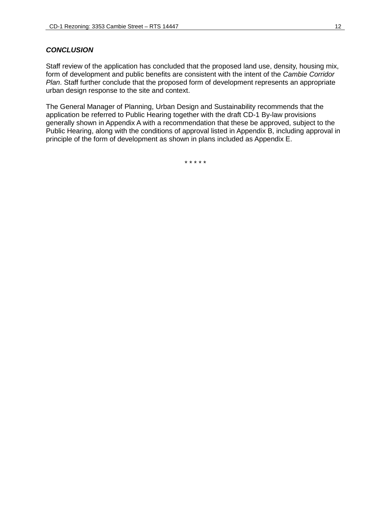#### *CONCLUSION*

Staff review of the application has concluded that the proposed land use, density, housing mix, form of development and public benefits are consistent with the intent of the *Cambie Corridor Plan*. Staff further conclude that the proposed form of development represents an appropriate urban design response to the site and context.

The General Manager of Planning, Urban Design and Sustainability recommends that the application be referred to Public Hearing together with the draft CD-1 By-law provisions generally shown in Appendix A with a recommendation that these be approved, subject to the Public Hearing, along with the conditions of approval listed in Appendix B, including approval in principle of the form of development as shown in plans included as Appendix E.

\* \* \* \* \*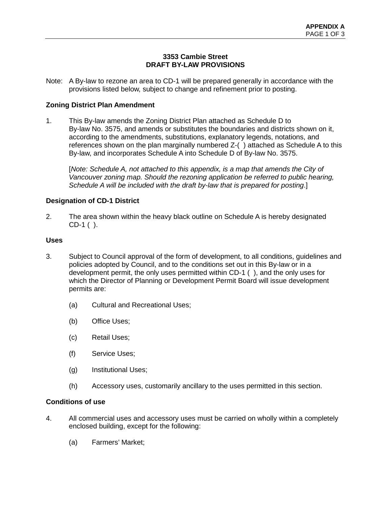## **3353 Cambie Street DRAFT BY-LAW PROVISIONS**

Note: A By-law to rezone an area to CD-1 will be prepared generally in accordance with the provisions listed below, subject to change and refinement prior to posting.

### **Zoning District Plan Amendment**

1. This By-law amends the Zoning District Plan attached as Schedule D to By-law No. 3575, and amends or substitutes the boundaries and districts shown on it, according to the amendments, substitutions, explanatory legends, notations, and references shown on the plan marginally numbered Z-( ) attached as Schedule A to this By-law, and incorporates Schedule A into Schedule D of By-law No. 3575.

[*Note: Schedule A, not attached to this appendix, is a map that amends the City of Vancouver zoning map. Should the rezoning application be referred to public hearing, Schedule A will be included with the draft by-law that is prepared for posting*.]

#### **Designation of CD-1 District**

2. The area shown within the heavy black outline on Schedule A is hereby designated CD-1 ( ).

#### **Uses**

- 3. Subject to Council approval of the form of development, to all conditions, guidelines and policies adopted by Council, and to the conditions set out in this By-law or in a development permit, the only uses permitted within CD-1 ( ), and the only uses for which the Director of Planning or Development Permit Board will issue development permits are:
	- (a) Cultural and Recreational Uses;
	- (b) Office Uses;
	- (c) Retail Uses;
	- (f) Service Uses;
	- (g) Institutional Uses;
	- (h) Accessory uses, customarily ancillary to the uses permitted in this section.

#### **Conditions of use**

- 4. All commercial uses and accessory uses must be carried on wholly within a completely enclosed building, except for the following:
	- (a) Farmers' Market;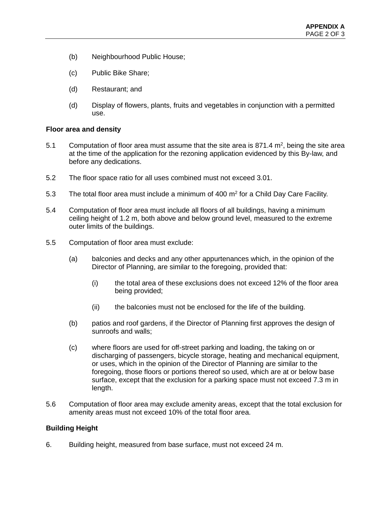- (b) Neighbourhood Public House;
- (c) Public Bike Share;
- (d) Restaurant; and
- (d) Display of flowers, plants, fruits and vegetables in conjunction with a permitted use.

#### **Floor area and density**

- 5.1 Computation of floor area must assume that the site area is 871.4  $m^2$ , being the site area at the time of the application for the rezoning application evidenced by this By-law, and before any dedications.
- 5.2 The floor space ratio for all uses combined must not exceed 3.01.
- 5.3 The total floor area must include a minimum of 400  $\text{m}^2$  for a Child Day Care Facility.
- 5.4 Computation of floor area must include all floors of all buildings, having a minimum ceiling height of 1.2 m, both above and below ground level, measured to the extreme outer limits of the buildings.
- 5.5 Computation of floor area must exclude:
	- (a) balconies and decks and any other appurtenances which, in the opinion of the Director of Planning, are similar to the foregoing, provided that:
		- (i) the total area of these exclusions does not exceed 12% of the floor area being provided;
		- (ii) the balconies must not be enclosed for the life of the building.
	- (b) patios and roof gardens, if the Director of Planning first approves the design of sunroofs and walls;
	- (c) where floors are used for off-street parking and loading, the taking on or discharging of passengers, bicycle storage, heating and mechanical equipment, or uses, which in the opinion of the Director of Planning are similar to the foregoing, those floors or portions thereof so used, which are at or below base surface, except that the exclusion for a parking space must not exceed 7.3 m in length.
- 5.6 Computation of floor area may exclude amenity areas, except that the total exclusion for amenity areas must not exceed 10% of the total floor area.

#### **Building Height**

6. Building height, measured from base surface, must not exceed 24 m.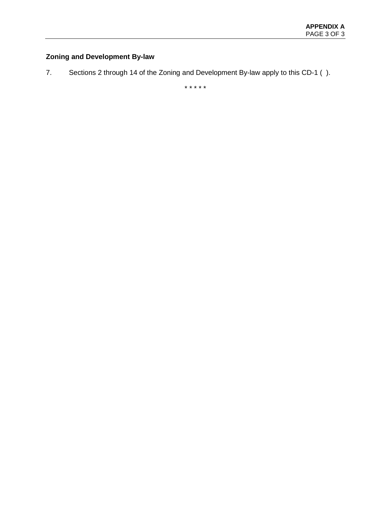# **Zoning and Development By-law**

7. Sections 2 through 14 of the Zoning and Development By-law apply to this CD-1 ( ).

\* \* \* \* \*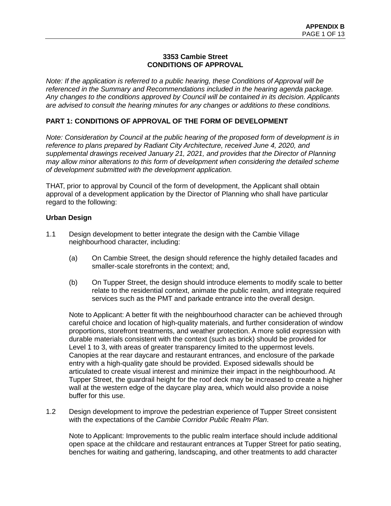### **3353 Cambie Street CONDITIONS OF APPROVAL**

*Note: If the application is referred to a public hearing, these Conditions of Approval will be referenced in the Summary and Recommendations included in the hearing agenda package. Any changes to the conditions approved by Council will be contained in its decision. Applicants are advised to consult the hearing minutes for any changes or additions to these conditions.* 

## **PART 1: CONDITIONS OF APPROVAL OF THE FORM OF DEVELOPMENT**

*Note: Consideration by Council at the public hearing of the proposed form of development is in reference to plans prepared by Radiant City Architecture, received June 4, 2020, and supplemental drawings received January 21, 2021, and provides that the Director of Planning may allow minor alterations to this form of development when considering the detailed scheme of development submitted with the development application.* 

THAT, prior to approval by Council of the form of development, the Applicant shall obtain approval of a development application by the Director of Planning who shall have particular regard to the following:

#### **Urban Design**

- 1.1 Design development to better integrate the design with the Cambie Village neighbourhood character, including:
	- (a) On Cambie Street, the design should reference the highly detailed facades and smaller-scale storefronts in the context; and,
	- (b) On Tupper Street, the design should introduce elements to modify scale to better relate to the residential context, animate the public realm, and integrate required services such as the PMT and parkade entrance into the overall design.

Note to Applicant: A better fit with the neighbourhood character can be achieved through careful choice and location of high-quality materials, and further consideration of window proportions, storefront treatments, and weather protection. A more solid expression with durable materials consistent with the context (such as brick) should be provided for Level 1 to 3, with areas of greater transparency limited to the uppermost levels. Canopies at the rear daycare and restaurant entrances, and enclosure of the parkade entry with a high-quality gate should be provided. Exposed sidewalls should be articulated to create visual interest and minimize their impact in the neighbourhood. At Tupper Street, the guardrail height for the roof deck may be increased to create a higher wall at the western edge of the daycare play area, which would also provide a noise buffer for this use.

1.2 Design development to improve the pedestrian experience of Tupper Street consistent with the expectations of the *Cambie Corridor Public Realm Plan*.

Note to Applicant: Improvements to the public realm interface should include additional open space at the childcare and restaurant entrances at Tupper Street for patio seating, benches for waiting and gathering, landscaping, and other treatments to add character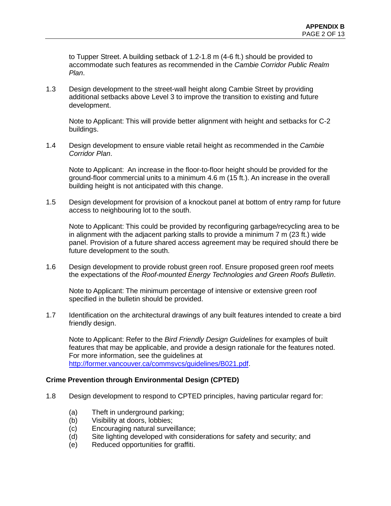to Tupper Street. A building setback of 1.2-1.8 m (4-6 ft.) should be provided to accommodate such features as recommended in the *Cambie Corridor Public Realm Plan*.

1.3 Design development to the street-wall height along Cambie Street by providing additional setbacks above Level 3 to improve the transition to existing and future development.

Note to Applicant: This will provide better alignment with height and setbacks for C-2 buildings.

1.4 Design development to ensure viable retail height as recommended in the *Cambie Corridor Plan*.

Note to Applicant: An increase in the floor-to-floor height should be provided for the ground-floor commercial units to a minimum 4.6 m (15 ft.). An increase in the overall building height is not anticipated with this change.

1.5 Design development for provision of a knockout panel at bottom of entry ramp for future access to neighbouring lot to the south.

Note to Applicant: This could be provided by reconfiguring garbage/recycling area to be in alignment with the adjacent parking stalls to provide a minimum 7 m (23 ft.) wide panel. Provision of a future shared access agreement may be required should there be future development to the south.

1.6 Design development to provide robust green roof. Ensure proposed green roof meets the expectations of the *Roof-mounted Energy Technologies and Green Roofs Bulletin*.

Note to Applicant: The minimum percentage of intensive or extensive green roof specified in the bulletin should be provided.

1.7 Identification on the architectural drawings of any built features intended to create a bird friendly design.

Note to Applicant: Refer to the *Bird Friendly Design Guidelines* for examples of built features that may be applicable, and provide a design rationale for the features noted. For more information, see the guidelines at [http://former.vancouver.ca/commsvcs/guidelines/B021.pdf.](http://former.vancouver.ca/commsvcs/guidelines/B021.pdf)

#### **Crime Prevention through Environmental Design (CPTED)**

- 1.8 Design development to respond to CPTED principles, having particular regard for:
	- (a) Theft in underground parking;
	- (b) Visibility at doors, lobbies;
	- (c) Encouraging natural surveillance;
	- (d) Site lighting developed with considerations for safety and security; and
	- (e) Reduced opportunities for graffiti.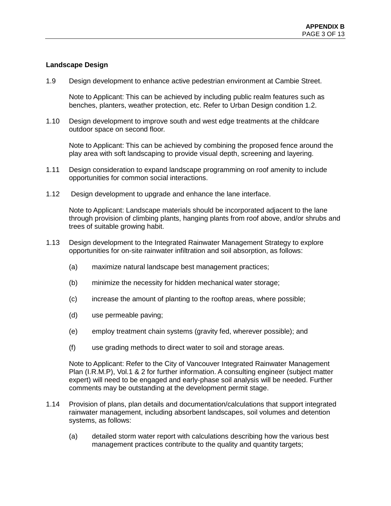## **Landscape Design**

1.9 Design development to enhance active pedestrian environment at Cambie Street.

Note to Applicant: This can be achieved by including public realm features such as benches, planters, weather protection, etc. Refer to Urban Design condition 1.2.

1.10 Design development to improve south and west edge treatments at the childcare outdoor space on second floor.

Note to Applicant: This can be achieved by combining the proposed fence around the play area with soft landscaping to provide visual depth, screening and layering.

- 1.11 Design consideration to expand landscape programming on roof amenity to include opportunities for common social interactions.
- 1.12 Design development to upgrade and enhance the lane interface.

Note to Applicant: Landscape materials should be incorporated adjacent to the lane through provision of climbing plants, hanging plants from roof above, and/or shrubs and trees of suitable growing habit.

- 1.13 Design development to the Integrated Rainwater Management Strategy to explore opportunities for on-site rainwater infiltration and soil absorption, as follows:
	- (a) maximize natural landscape best management practices;
	- (b) minimize the necessity for hidden mechanical water storage;
	- (c) increase the amount of planting to the rooftop areas, where possible;
	- (d) use permeable paving;
	- (e) employ treatment chain systems (gravity fed, wherever possible); and
	- (f) use grading methods to direct water to soil and storage areas.

Note to Applicant: Refer to the City of Vancouver Integrated Rainwater Management Plan (I.R.M.P), Vol.1 & 2 for further information. A consulting engineer (subject matter expert) will need to be engaged and early-phase soil analysis will be needed. Further comments may be outstanding at the development permit stage.

- 1.14 Provision of plans, plan details and documentation/calculations that support integrated rainwater management, including absorbent landscapes, soil volumes and detention systems, as follows:
	- (a) detailed storm water report with calculations describing how the various best management practices contribute to the quality and quantity targets;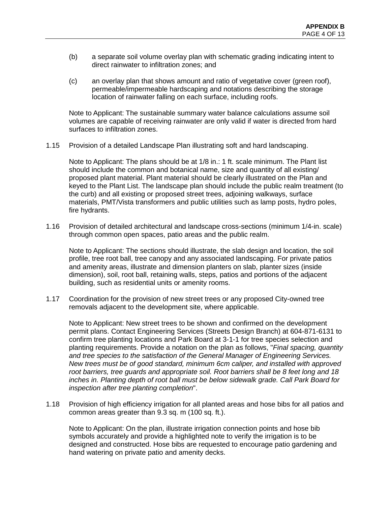- (b) a separate soil volume overlay plan with schematic grading indicating intent to direct rainwater to infiltration zones; and
- (c) an overlay plan that shows amount and ratio of vegetative cover (green roof), permeable/impermeable hardscaping and notations describing the storage location of rainwater falling on each surface, including roofs.

Note to Applicant: The sustainable summary water balance calculations assume soil volumes are capable of receiving rainwater are only valid if water is directed from hard surfaces to infiltration zones.

1.15 Provision of a detailed Landscape Plan illustrating soft and hard landscaping.

Note to Applicant: The plans should be at 1/8 in.: 1 ft. scale minimum. The Plant list should include the common and botanical name, size and quantity of all existing/ proposed plant material. Plant material should be clearly illustrated on the Plan and keyed to the Plant List. The landscape plan should include the public realm treatment (to the curb) and all existing or proposed street trees, adjoining walkways, surface materials, PMT/Vista transformers and public utilities such as lamp posts, hydro poles, fire hydrants.

1.16 Provision of detailed architectural and landscape cross-sections (minimum 1/4-in. scale) through common open spaces, patio areas and the public realm.

Note to Applicant: The sections should illustrate, the slab design and location, the soil profile, tree root ball, tree canopy and any associated landscaping. For private patios and amenity areas, illustrate and dimension planters on slab, planter sizes (inside dimension), soil, root ball, retaining walls, steps, patios and portions of the adjacent building, such as residential units or amenity rooms.

1.17 Coordination for the provision of new street trees or any proposed City-owned tree removals adjacent to the development site, where applicable.

Note to Applicant: New street trees to be shown and confirmed on the development permit plans. Contact Engineering Services (Streets Design Branch) at 604-871-6131 to confirm tree planting locations and Park Board at 3-1-1 for tree species selection and planting requirements. Provide a notation on the plan as follows, "*Final spacing, quantity and tree species to the satisfaction of the General Manager of Engineering Services. New trees must be of good standard, minimum 6cm caliper, and installed with approved root barriers, tree guards and appropriate soil. Root barriers shall be 8 feet long and 18 inches in. Planting depth of root ball must be below sidewalk grade. Call Park Board for inspection after tree planting completion*".

1.18 Provision of high efficiency irrigation for all planted areas and hose bibs for all patios and common areas greater than 9.3 sq. m (100 sq. ft.).

Note to Applicant: On the plan, illustrate irrigation connection points and hose bib symbols accurately and provide a highlighted note to verify the irrigation is to be designed and constructed. Hose bibs are requested to encourage patio gardening and hand watering on private patio and amenity decks.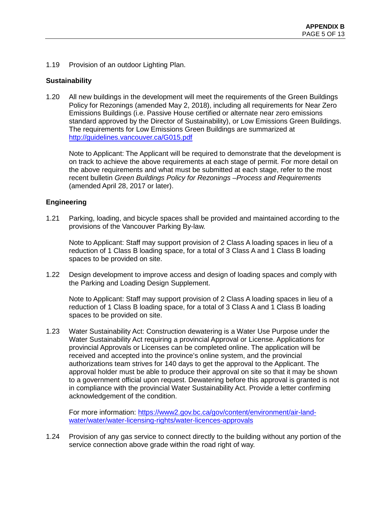1.19 Provision of an outdoor Lighting Plan.

### **Sustainability**

1.20 All new buildings in the development will meet the requirements of the Green Buildings Policy for Rezonings (amended May 2, 2018), including all requirements for Near Zero Emissions Buildings (i.e. Passive House certified or alternate near zero emissions standard approved by the Director of Sustainability), or Low Emissions Green Buildings. The requirements for Low Emissions Green Buildings are summarized at <http://guidelines.vancouver.ca/G015.pdf>

Note to Applicant: The Applicant will be required to demonstrate that the development is on track to achieve the above requirements at each stage of permit. For more detail on the above requirements and what must be submitted at each stage, refer to the most recent bulletin *Green Buildings Policy for Rezonings –Process and Requirements*  (amended April 28, 2017 or later).

### **Engineering**

1.21 Parking, loading, and bicycle spaces shall be provided and maintained according to the provisions of the Vancouver Parking By-law.

Note to Applicant: Staff may support provision of 2 Class A loading spaces in lieu of a reduction of 1 Class B loading space, for a total of 3 Class A and 1 Class B loading spaces to be provided on site.

1.22 Design development to improve access and design of loading spaces and comply with the Parking and Loading Design Supplement.

Note to Applicant: Staff may support provision of 2 Class A loading spaces in lieu of a reduction of 1 Class B loading space, for a total of 3 Class A and 1 Class B loading spaces to be provided on site.

1.23 Water Sustainability Act: Construction dewatering is a Water Use Purpose under the Water Sustainability Act requiring a provincial Approval or License. Applications for provincial Approvals or Licenses can be completed online. The application will be received and accepted into the province's online system, and the provincial authorizations team strives for 140 days to get the approval to the Applicant. The approval holder must be able to produce their approval on site so that it may be shown to a government official upon request. Dewatering before this approval is granted is not in compliance with the provincial Water Sustainability Act. Provide a letter confirming acknowledgement of the condition.

For more information: [https://www2.gov.bc.ca/gov/content/environment/air-land](https://www2.gov.bc.ca/gov/content/environment/air-land-water/water/water-licensing-rights/water-licences-approvals)[water/water/water-licensing-rights/water-licences-approvals](https://www2.gov.bc.ca/gov/content/environment/air-land-water/water/water-licensing-rights/water-licences-approvals)

1.24 Provision of any gas service to connect directly to the building without any portion of the service connection above grade within the road right of way.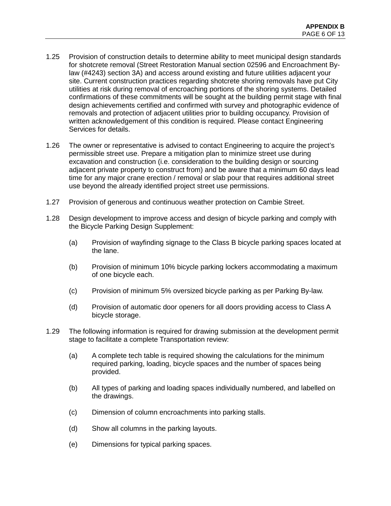- 1.25 Provision of construction details to determine ability to meet municipal design standards for shotcrete removal (Street Restoration Manual section 02596 and Encroachment Bylaw (#4243) section 3A) and access around existing and future utilities adjacent your site. Current construction practices regarding shotcrete shoring removals have put City utilities at risk during removal of encroaching portions of the shoring systems. Detailed confirmations of these commitments will be sought at the building permit stage with final design achievements certified and confirmed with survey and photographic evidence of removals and protection of adjacent utilities prior to building occupancy. Provision of written acknowledgement of this condition is required. Please contact Engineering Services for details.
- 1.26 The owner or representative is advised to contact Engineering to acquire the project's permissible street use. Prepare a mitigation plan to minimize street use during excavation and construction (i.e. consideration to the building design or sourcing adjacent private property to construct from) and be aware that a minimum 60 days lead time for any major crane erection / removal or slab pour that requires additional street use beyond the already identified project street use permissions.
- 1.27 Provision of generous and continuous weather protection on Cambie Street.
- 1.28 Design development to improve access and design of bicycle parking and comply with the Bicycle Parking Design Supplement:
	- (a) Provision of wayfinding signage to the Class B bicycle parking spaces located at the lane.
	- (b) Provision of minimum 10% bicycle parking lockers accommodating a maximum of one bicycle each.
	- (c) Provision of minimum 5% oversized bicycle parking as per Parking By-law.
	- (d) Provision of automatic door openers for all doors providing access to Class A bicycle storage.
- 1.29 The following information is required for drawing submission at the development permit stage to facilitate a complete Transportation review:
	- (a) A complete tech table is required showing the calculations for the minimum required parking, loading, bicycle spaces and the number of spaces being provided.
	- (b) All types of parking and loading spaces individually numbered, and labelled on the drawings.
	- (c) Dimension of column encroachments into parking stalls.
	- (d) Show all columns in the parking layouts.
	- (e) Dimensions for typical parking spaces.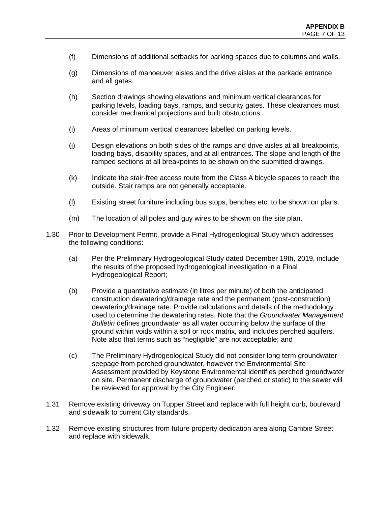- (f) Dimensions of additional setbacks for parking spaces due to columns and walls.
- (g) Dimensions of manoeuver aisles and the drive aisles at the parkade entrance and all gates.
- (h) Section drawings showing elevations and minimum vertical clearances for parking levels, loading bays, ramps, and security gates. These clearances must consider mechanical projections and built obstructions.
- (i) Areas of minimum vertical clearances labelled on parking levels.
- (j) Design elevations on both sides of the ramps and drive aisles at all breakpoints, loading bays, disability spaces, and at all entrances. The slope and length of the ramped sections at all breakpoints to be shown on the submitted drawings.
- (k) Indicate the stair-free access route from the Class A bicycle spaces to reach the outside. Stair ramps are not generally acceptable.
- (l) Existing street furniture including bus stops, benches etc. to be shown on plans.
- (m) The location of all poles and guy wires to be shown on the site plan.
- 1.30 Prior to Development Permit, provide a Final Hydrogeological Study which addresses the following conditions:
	- (a) Per the Preliminary Hydrogeological Study dated December 19th, 2019, include the results of the proposed hydrogeological investigation in a Final Hydrogeological Report;
	- (b) Provide a quantitative estimate (in litres per minute) of both the anticipated construction dewatering/drainage rate and the permanent (post-construction) dewatering/drainage rate. Provide calculations and details of the methodology used to determine the dewatering rates. Note that the *Groundwater Management Bulletin* defines groundwater as all water occurring below the surface of the ground within voids within a soil or rock matrix, and includes perched aquifers. Note also that terms such as "negligible" are not acceptable; and
	- (c) The Preliminary Hydrogeological Study did not consider long term groundwater seepage from perched groundwater, however the Environmental Site Assessment provided by Keystone Environmental identifies perched groundwater on site. Permanent discharge of groundwater (perched or static) to the sewer will be reviewed for approval by the City Engineer.
- 1.31 Remove existing driveway on Tupper Street and replace with full height curb, boulevard and sidewalk to current City standards.
- 1.32 Remove existing structures from future property dedication area along Cambie Street and replace with sidewalk.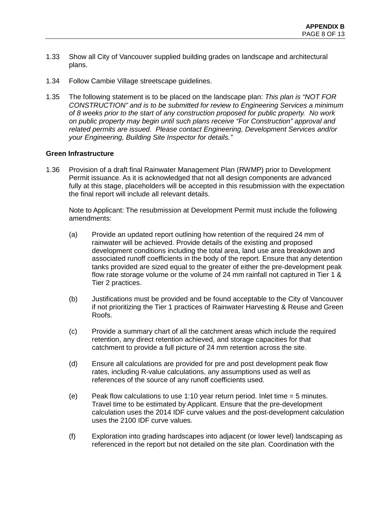- 1.33 Show all City of Vancouver supplied building grades on landscape and architectural plans.
- 1.34 Follow Cambie Village streetscape guidelines.
- 1.35 The following statement is to be placed on the landscape plan: *This plan is "NOT FOR CONSTRUCTION" and is to be submitted for review to Engineering Services a minimum of 8 weeks prior to the start of any construction proposed for public property. No work on public property may begin until such plans receive "For Construction" approval and related permits are issued. Please contact Engineering, Development Services and/or your Engineering, Building Site Inspector for details."*

#### **Green Infrastructure**

1.36 Provision of a draft final Rainwater Management Plan (RWMP) prior to Development Permit issuance. As it is acknowledged that not all design components are advanced fully at this stage, placeholders will be accepted in this resubmission with the expectation the final report will include all relevant details.

Note to Applicant: The resubmission at Development Permit must include the following amendments:

- (a) Provide an updated report outlining how retention of the required 24 mm of rainwater will be achieved. Provide details of the existing and proposed development conditions including the total area, land use area breakdown and associated runoff coefficients in the body of the report. Ensure that any detention tanks provided are sized equal to the greater of either the pre-development peak flow rate storage volume or the volume of 24 mm rainfall not captured in Tier 1 & Tier 2 practices.
- (b) Justifications must be provided and be found acceptable to the City of Vancouver if not prioritizing the Tier 1 practices of Rainwater Harvesting & Reuse and Green Roofs.
- (c) Provide a summary chart of all the catchment areas which include the required retention, any direct retention achieved, and storage capacities for that catchment to provide a full picture of 24 mm retention across the site.
- (d) Ensure all calculations are provided for pre and post development peak flow rates, including R-value calculations, any assumptions used as well as references of the source of any runoff coefficients used.
- (e) Peak flow calculations to use 1:10 year return period. Inlet time = 5 minutes. Travel time to be estimated by Applicant. Ensure that the pre-development calculation uses the 2014 IDF curve values and the post-development calculation uses the 2100 IDF curve values.
- (f) Exploration into grading hardscapes into adjacent (or lower level) landscaping as referenced in the report but not detailed on the site plan. Coordination with the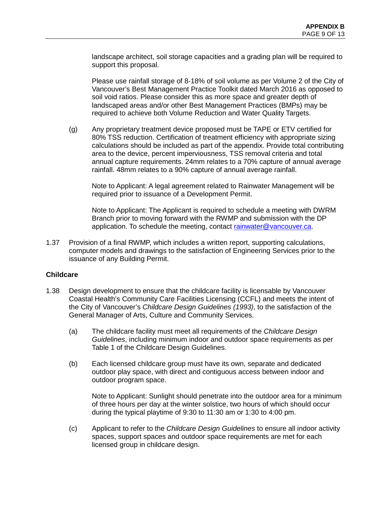landscape architect, soil storage capacities and a grading plan will be required to support this proposal.

Please use rainfall storage of 8-18% of soil volume as per Volume 2 of the City of Vancouver's Best Management Practice Toolkit dated March 2016 as opposed to soil void ratios. Please consider this as more space and greater depth of landscaped areas and/or other Best Management Practices (BMPs) may be required to achieve both Volume Reduction and Water Quality Targets.

(g) Any proprietary treatment device proposed must be TAPE or ETV certified for 80% TSS reduction. Certification of treatment efficiency with appropriate sizing calculations should be included as part of the appendix. Provide total contributing area to the device, percent imperviousness, TSS removal criteria and total annual capture requirements. 24mm relates to a 70% capture of annual average rainfall. 48mm relates to a 90% capture of annual average rainfall.

Note to Applicant: A legal agreement related to Rainwater Management will be required prior to issuance of a Development Permit.

Note to Applicant: The Applicant is required to schedule a meeting with DWRM Branch prior to moving forward with the RWMP and submission with the DP application. To schedule the meeting, contact [rainwater@vancouver.ca.](mailto:rainwater@vancouver.ca)

1.37 Provision of a final RWMP, which includes a written report, supporting calculations, computer models and drawings to the satisfaction of Engineering Services prior to the issuance of any Building Permit.

#### **Childcare**

- 1.38 Design development to ensure that the childcare facility is licensable by Vancouver Coastal Health's Community Care Facilities Licensing (CCFL) and meets the intent of the City of Vancouver's *Childcare Design Guidelines (1993)*, to the satisfaction of the General Manager of Arts, Culture and Community Services.
	- (a) The childcare facility must meet all requirements of the *Childcare Design Guidelines*, including minimum indoor and outdoor space requirements as per Table 1 of the Childcare Design Guidelines.
	- (b) Each licensed childcare group must have its own, separate and dedicated outdoor play space, with direct and contiguous access between indoor and outdoor program space.

Note to Applicant: Sunlight should penetrate into the outdoor area for a minimum of three hours per day at the winter solstice, two hours of which should occur during the typical playtime of 9:30 to 11:30 am or 1:30 to 4:00 pm.

(c) Applicant to refer to the *Childcare Design Guidelines* to ensure all indoor activity spaces, support spaces and outdoor space requirements are met for each licensed group in childcare design.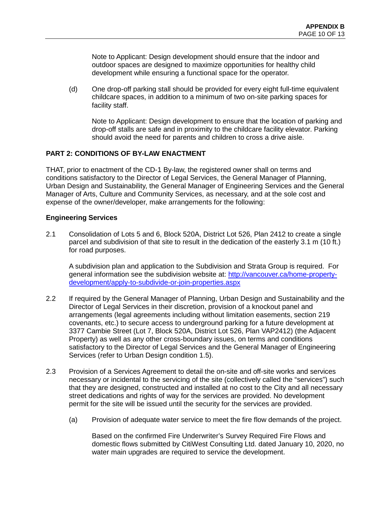Note to Applicant: Design development should ensure that the indoor and outdoor spaces are designed to maximize opportunities for healthy child development while ensuring a functional space for the operator.

(d) One drop-off parking stall should be provided for every eight full-time equivalent childcare spaces, in addition to a minimum of two on-site parking spaces for facility staff.

Note to Applicant: Design development to ensure that the location of parking and drop-off stalls are safe and in proximity to the childcare facility elevator. Parking should avoid the need for parents and children to cross a drive aisle.

### **PART 2: CONDITIONS OF BY-LAW ENACTMENT**

THAT, prior to enactment of the CD-1 By-law, the registered owner shall on terms and conditions satisfactory to the Director of Legal Services, the General Manager of Planning, Urban Design and Sustainability, the General Manager of Engineering Services and the General Manager of Arts, Culture and Community Services, as necessary, and at the sole cost and expense of the owner/developer, make arrangements for the following:

### **Engineering Services**

2.1 Consolidation of Lots 5 and 6, Block 520A, District Lot 526, Plan 2412 to create a single parcel and subdivision of that site to result in the dedication of the easterly 3.1 m (10 ft.) for road purposes.

A subdivision plan and application to the Subdivision and Strata Group is required. For general information see the subdivision website at: [http://vancouver.ca/home-property](http://vancouver.ca/home-property-development/apply-to-subdivide-or-join-properties.aspx)[development/apply-to-subdivide-or-join-properties.aspx](http://vancouver.ca/home-property-development/apply-to-subdivide-or-join-properties.aspx)

- 2.2 If required by the General Manager of Planning, Urban Design and Sustainability and the Director of Legal Services in their discretion, provision of a knockout panel and arrangements (legal agreements including without limitation easements, section 219 covenants, etc.) to secure access to underground parking for a future development at 3377 Cambie Street (Lot 7, Block 520A, District Lot 526, Plan VAP2412) (the Adjacent Property) as well as any other cross-boundary issues, on terms and conditions satisfactory to the Director of Legal Services and the General Manager of Engineering Services (refer to Urban Design condition 1.5).
- 2.3 Provision of a Services Agreement to detail the on-site and off-site works and services necessary or incidental to the servicing of the site (collectively called the "services") such that they are designed, constructed and installed at no cost to the City and all necessary street dedications and rights of way for the services are provided. No development permit for the site will be issued until the security for the services are provided.
	- (a) Provision of adequate water service to meet the fire flow demands of the project.

Based on the confirmed Fire Underwriter's Survey Required Fire Flows and domestic flows submitted by CitiWest Consulting Ltd. dated January 10, 2020, no water main upgrades are required to service the development.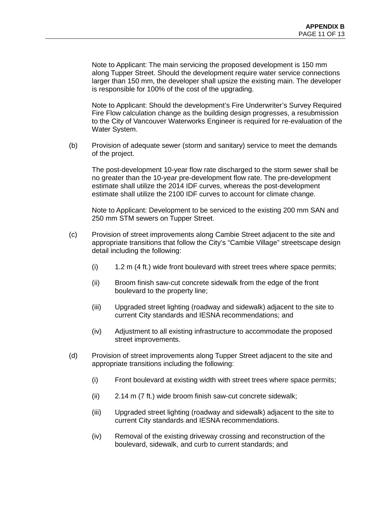Note to Applicant: The main servicing the proposed development is 150 mm along Tupper Street. Should the development require water service connections larger than 150 mm, the developer shall upsize the existing main. The developer is responsible for 100% of the cost of the upgrading.

Note to Applicant: Should the development's Fire Underwriter's Survey Required Fire Flow calculation change as the building design progresses, a resubmission to the City of Vancouver Waterworks Engineer is required for re-evaluation of the Water System.

(b) Provision of adequate sewer (storm and sanitary) service to meet the demands of the project.

The post-development 10-year flow rate discharged to the storm sewer shall be no greater than the 10-year pre-development flow rate. The pre-development estimate shall utilize the 2014 IDF curves, whereas the post-development estimate shall utilize the 2100 IDF curves to account for climate change.

Note to Applicant: Development to be serviced to the existing 200 mm SAN and 250 mm STM sewers on Tupper Street.

- (c) Provision of street improvements along Cambie Street adjacent to the site and appropriate transitions that follow the City's "Cambie Village" streetscape design detail including the following:
	- (i) 1.2 m (4 ft.) wide front boulevard with street trees where space permits;
	- (ii) Broom finish saw-cut concrete sidewalk from the edge of the front boulevard to the property line;
	- (iii) Upgraded street lighting (roadway and sidewalk) adjacent to the site to current City standards and IESNA recommendations; and
	- (iv) Adjustment to all existing infrastructure to accommodate the proposed street improvements.
- (d) Provision of street improvements along Tupper Street adjacent to the site and appropriate transitions including the following:
	- (i) Front boulevard at existing width with street trees where space permits;
	- (ii) 2.14 m (7 ft.) wide broom finish saw-cut concrete sidewalk;
	- (iii) Upgraded street lighting (roadway and sidewalk) adjacent to the site to current City standards and IESNA recommendations.
	- (iv) Removal of the existing driveway crossing and reconstruction of the boulevard, sidewalk, and curb to current standards; and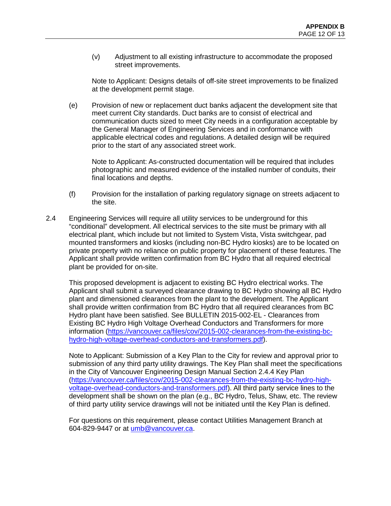(v) Adjustment to all existing infrastructure to accommodate the proposed street improvements.

Note to Applicant: Designs details of off-site street improvements to be finalized at the development permit stage.

(e) Provision of new or replacement duct banks adjacent the development site that meet current City standards. Duct banks are to consist of electrical and communication ducts sized to meet City needs in a configuration acceptable by the General Manager of Engineering Services and in conformance with applicable electrical codes and regulations. A detailed design will be required prior to the start of any associated street work.

Note to Applicant: As-constructed documentation will be required that includes photographic and measured evidence of the installed number of conduits, their final locations and depths.

- (f) Provision for the installation of parking regulatory signage on streets adjacent to the site.
- 2.4 Engineering Services will require all utility services to be underground for this "conditional" development. All electrical services to the site must be primary with all electrical plant, which include but not limited to System Vista, Vista switchgear, pad mounted transformers and kiosks (including non-BC Hydro kiosks) are to be located on private property with no reliance on public property for placement of these features. The Applicant shall provide written confirmation from BC Hydro that all required electrical plant be provided for on-site.

This proposed development is adjacent to existing BC Hydro electrical works. The Applicant shall submit a surveyed clearance drawing to BC Hydro showing all BC Hydro plant and dimensioned clearances from the plant to the development. The Applicant shall provide written confirmation from BC Hydro that all required clearances from BC Hydro plant have been satisfied. See BULLETIN 2015-002-EL - Clearances from Existing BC Hydro High Voltage Overhead Conductors and Transformers for more information [\(https://vancouver.ca/files/cov/2015-002-clearances-from-the-existing-bc](https://vancouver.ca/files/cov/2015-002-clearances-from-the-existing-bc-hydro-high-voltage-overhead-conductors-and-transformers.pdf)[hydro-high-voltage-overhead-conductors-and-transformers.pdf\)](https://vancouver.ca/files/cov/2015-002-clearances-from-the-existing-bc-hydro-high-voltage-overhead-conductors-and-transformers.pdf).

Note to Applicant: Submission of a Key Plan to the City for review and approval prior to submission of any third party utility drawings. The Key Plan shall meet the specifications in the City of Vancouver Engineering Design Manual Section 2.4.4 Key Plan [\(https://vancouver.ca/files/cov/2015-002-clearances-from-the-existing-bc-hydro-high](https://vancouver.ca/files/cov/2015-002-clearances-from-the-existing-bc-hydro-high-voltage-overhead-conductors-and-transformers.pdf)[voltage-overhead-conductors-and-transformers.pdf\)](https://vancouver.ca/files/cov/2015-002-clearances-from-the-existing-bc-hydro-high-voltage-overhead-conductors-and-transformers.pdf). All third party service lines to the development shall be shown on the plan (e.g., BC Hydro, Telus, Shaw, etc. The review of third party utility service drawings will not be initiated until the Key Plan is defined.

For questions on this requirement, please contact Utilities Management Branch at 604-829-9447 or at [umb@vancouver.ca.](mailto:umb@vancouver.ca)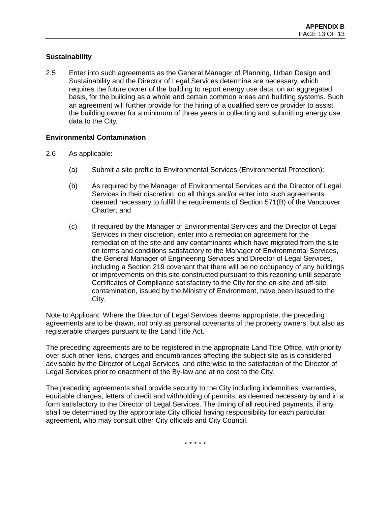## **Sustainability**

2.5 Enter into such agreements as the General Manager of Planning, Urban Design and Sustainability and the Director of Legal Services determine are necessary, which requires the future owner of the building to report energy use data, on an aggregated basis, for the building as a whole and certain common areas and building systems. Such an agreement will further provide for the hiring of a qualified service provider to assist the building owner for a minimum of three years in collecting and submitting energy use data to the City.

### **Environmental Contamination**

- 2.6 As applicable:
	- (a) Submit a site profile to Environmental Services (Environmental Protection);
	- (b) As required by the Manager of Environmental Services and the Director of Legal Services in their discretion, do all things and/or enter into such agreements deemed necessary to fulfill the requirements of Section 571(B) of the Vancouver Charter; and
	- (c) If required by the Manager of Environmental Services and the Director of Legal Services in their discretion, enter into a remediation agreement for the remediation of the site and any contaminants which have migrated from the site on terms and conditions satisfactory to the Manager of Environmental Services, the General Manager of Engineering Services and Director of Legal Services, including a Section 219 covenant that there will be no occupancy of any buildings or improvements on this site constructed pursuant to this rezoning until separate Certificates of Compliance satisfactory to the City for the on-site and off-site contamination, issued by the Ministry of Environment, have been issued to the City.

Note to Applicant: Where the Director of Legal Services deems appropriate, the preceding agreements are to be drawn, not only as personal covenants of the property owners, but also as registerable charges pursuant to the Land Title Act.

The preceding agreements are to be registered in the appropriate Land Title Office, with priority over such other liens, charges and encumbrances affecting the subject site as is considered advisable by the Director of Legal Services, and otherwise to the satisfaction of the Director of Legal Services prior to enactment of the By-law and at no cost to the City.

The preceding agreements shall provide security to the City including indemnities, warranties, equitable charges, letters of credit and withholding of permits, as deemed necessary by and in a form satisfactory to the Director of Legal Services. The timing of all required payments, if any, shall be determined by the appropriate City official having responsibility for each particular agreement, who may consult other City officials and City Council.

\* \* \* \* \*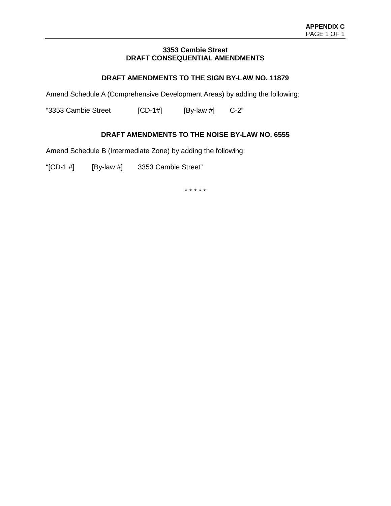#### **3353 Cambie Street DRAFT CONSEQUENTIAL AMENDMENTS**

## **DRAFT AMENDMENTS TO THE SIGN BY-LAW NO. 11879**

Amend Schedule A (Comprehensive Development Areas) by adding the following:

"3353 Cambie Street [CD-1#] [By-law #] C-2"

## **DRAFT AMENDMENTS TO THE NOISE BY-LAW NO. 6555**

Amend Schedule B (Intermediate Zone) by adding the following:

"[CD-1 #] [By-law #] 3353 Cambie Street"

\* \* \* \* \*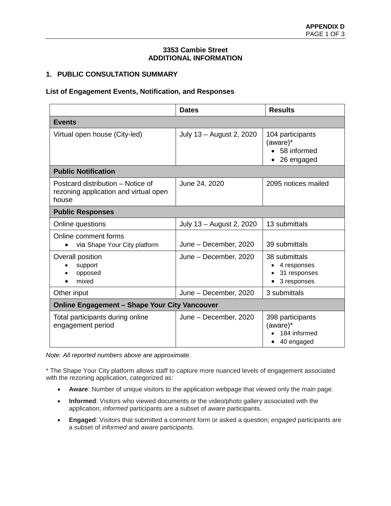#### **3353 Cambie Street ADDITIONAL INFORMATION**

## **1. PUBLIC CONSULTATION SUMMARY**

### **List of Engagement Events, Notification, and Responses**

|                                                                                     | <b>Dates</b>             | <b>Results</b>                                              |  |  |
|-------------------------------------------------------------------------------------|--------------------------|-------------------------------------------------------------|--|--|
| <b>Events</b>                                                                       |                          |                                                             |  |  |
| Virtual open house (City-led)                                                       | July 13 - August 2, 2020 | 104 participants<br>(aware)*<br>58 informed<br>26 engaged   |  |  |
| <b>Public Notification</b>                                                          |                          |                                                             |  |  |
| Postcard distribution – Notice of<br>rezoning application and virtual open<br>house | June 24, 2020            | 2095 notices mailed                                         |  |  |
| <b>Public Responses</b>                                                             |                          |                                                             |  |  |
| Online questions                                                                    | July 13 - August 2, 2020 | 13 submittals                                               |  |  |
| Online comment forms<br>via Shape Your City platform                                | June - December, 2020    | 39 submittals                                               |  |  |
| Overall position<br>support<br>opposed<br>mixed                                     | June - December, 2020    | 38 submittals<br>4 responses<br>31 responses<br>3 responses |  |  |
| Other input                                                                         | June - December, 2020    | 3 submittals                                                |  |  |
| <b>Online Engagement - Shape Your City Vancouver</b>                                |                          |                                                             |  |  |
| Total participants during online<br>engagement period                               | June - December, 2020    | 398 participants<br>(aware)*<br>184 informed<br>40 engaged  |  |  |

*Note: All reported numbers above are approximate.*

\* The Shape Your City platform allows staff to capture more nuanced levels of engagement associated with the rezoning application, categorized as:

- **Aware**: Number of unique visitors to the application webpage that viewed only the main page.
- **Informed**: Visitors who viewed documents or the video/photo gallery associated with the application; *informed* participants are a subset of *aware* participants.
- **Engaged**: Visitors that submitted a comment form or asked a question; *engaged* participants are a subset of *informed* and *aware* participants.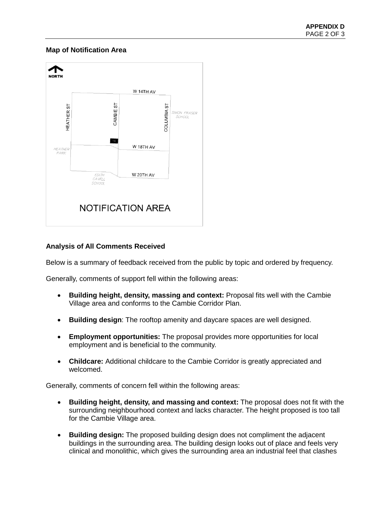### **Map of Notification Area**



## **Analysis of All Comments Received**

Below is a summary of feedback received from the public by topic and ordered by frequency.

Generally, comments of support fell within the following areas:

- **Building height, density, massing and context:** Proposal fits well with the Cambie Village area and conforms to the Cambie Corridor Plan.
- **Building design**: The rooftop amenity and daycare spaces are well designed.
- **Employment opportunities:** The proposal provides more opportunities for local employment and is beneficial to the community.
- **Childcare:** Additional childcare to the Cambie Corridor is greatly appreciated and welcomed.

Generally, comments of concern fell within the following areas:

- **Building height, density, and massing and context:** The proposal does not fit with the surrounding neighbourhood context and lacks character. The height proposed is too tall for the Cambie Village area.
- **Building design:** The proposed building design does not compliment the adjacent buildings in the surrounding area. The building design looks out of place and feels very clinical and monolithic, which gives the surrounding area an industrial feel that clashes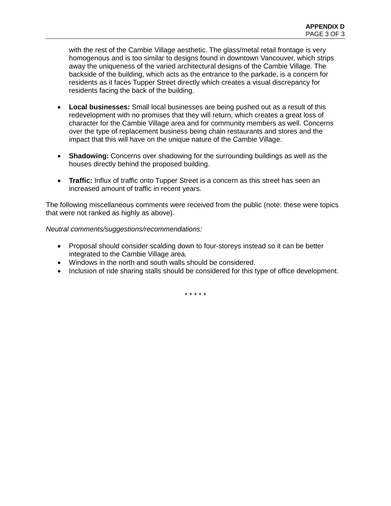with the rest of the Cambie Village aesthetic. The glass/metal retail frontage is very homogenous and is too similar to designs found in downtown Vancouver, which strips away the uniqueness of the varied architectural designs of the Cambie Village. The backside of the building, which acts as the entrance to the parkade, is a concern for residents as it faces Tupper Street directly which creates a visual discrepancy for residents facing the back of the building.

- **Local businesses:** Small local businesses are being pushed out as a result of this redevelopment with no promises that they will return, which creates a great loss of character for the Cambie Village area and for community members as well. Concerns over the type of replacement business being chain restaurants and stores and the impact that this will have on the unique nature of the Cambie Village.
- **Shadowing:** Concerns over shadowing for the surrounding buildings as well as the houses directly behind the proposed building.
- **Traffic:** Influx of traffic onto Tupper Street is a concern as this street has seen an increased amount of traffic in recent years.

The following miscellaneous comments were received from the public (note: these were topics that were not ranked as highly as above).

### *Neutral comments/suggestions/recommendations:*

- Proposal should consider scalding down to four-storeys instead so it can be better integrated to the Cambie Village area.
- Windows in the north and south walls should be considered.
- Inclusion of ride sharing stalls should be considered for this type of office development.

\* \* \* \* \*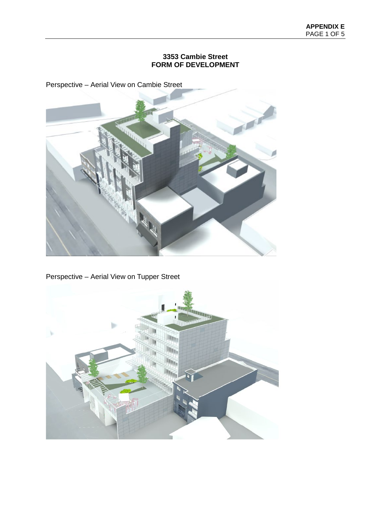## **3353 Cambie Street FORM OF DEVELOPMENT**

Perspective – Aerial View on Cambie Street



Perspective – Aerial View on Tupper Street

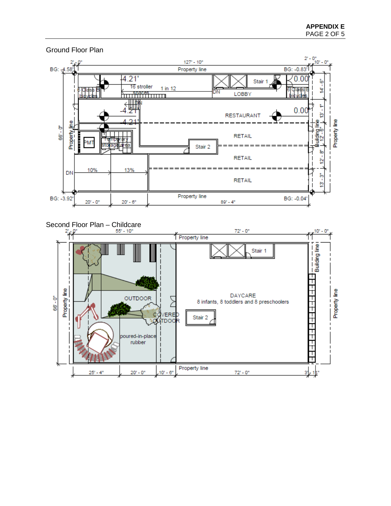

Ground Floor Plan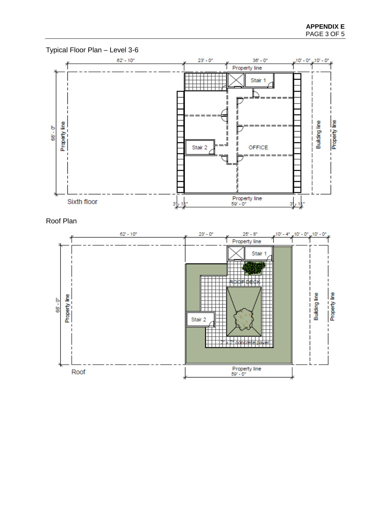

Typical Floor Plan – Level 3-6

Roof Plan

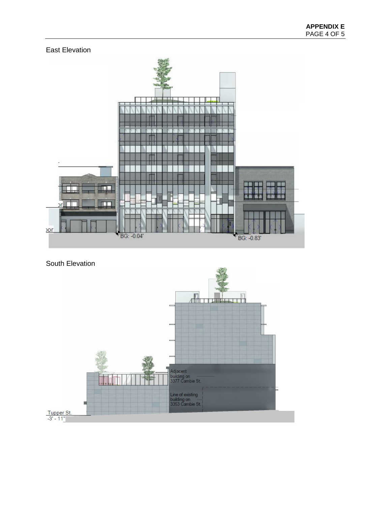



# South Elevation

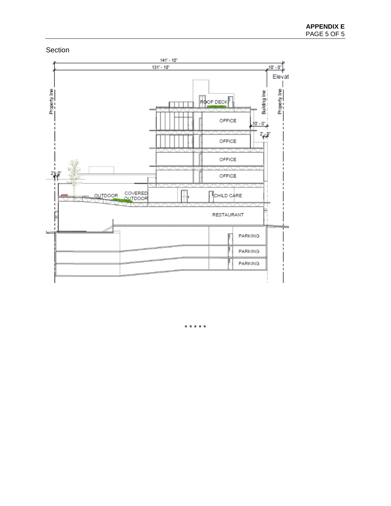



\* \* \* \* \*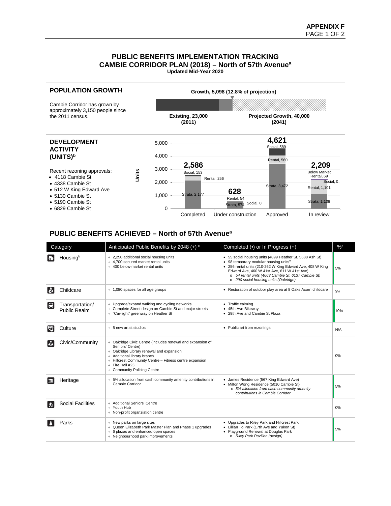#### **PUBLIC BENEFITS IMPLEMENTATION TRACKING CAMBIE CORRIDOR PLAN (2018) – North of 57th Avenuea Updated Mid-Year 2020**



#### **PUBLIC BENEFITS ACHIEVED – North of 57th Avenuea**

| Category |                                 | Anticipated Public Benefits by 2048 (+) <sup>c</sup>                                                                                                                                                                                                                     | Completed $\left(\bullet\right)$ or In Progress $\left(\circ\right)$                                                                                                                                                                                                                                                     | $\%^d$ |
|----------|---------------------------------|--------------------------------------------------------------------------------------------------------------------------------------------------------------------------------------------------------------------------------------------------------------------------|--------------------------------------------------------------------------------------------------------------------------------------------------------------------------------------------------------------------------------------------------------------------------------------------------------------------------|--------|
|          | Housingb                        | + 2,250 additional social housing units<br>+ 4.700 secured market rental units<br>+ 400 below-market rental units                                                                                                                                                        | • 55 social housing units (4899 Heather St, 5688 Ash St)<br>• 98 temporary modular housing units <sup>e</sup><br>• 256 rental units (210-262 W King Edward Ave, 408 W King<br>Edward Ave, 460 W 41st Ave, 611 W 41st Ave)<br>o 54 rental units (4663 Cambie St, 6137 Cambie St)<br>o 290 social housing units (Oakridge) | 5%     |
| စ်       | Childcare                       | + 1,080 spaces for all age groups                                                                                                                                                                                                                                        | • Restoration of outdoor play area at 8 Oaks Acorn childcare                                                                                                                                                                                                                                                             | 0%     |
| e        | Transportation/<br>Public Realm | + Upgrade/expand walking and cycling networks<br>+ Complete Street design on Cambie St and major streets<br>"Car-light" greenway on Heather St                                                                                                                           | • Traffic calming<br>• 45th Ave Bikeway<br>• 29th Ave and Cambie St Plaza                                                                                                                                                                                                                                                | 10%    |
| ख        | Culture                         | + 5 new artist studios                                                                                                                                                                                                                                                   | • Public art from rezonings                                                                                                                                                                                                                                                                                              | N/A    |
|          | Civic/Community                 | + Oakridge Civic Centre (includes renewal and expansion of<br>Seniors' Centre)<br>+ Oakridge Library renewal and expansion<br>+ Additional library branch<br>+ Hillcrest Community Centre - Fitness centre expansion<br>$+$ Fire Hall #23<br>+ Community Policing Centre |                                                                                                                                                                                                                                                                                                                          | 0%     |
| ш        | Heritage                        | + 5% allocation from cash community amenity contributions in<br>Cambie Corridor                                                                                                                                                                                          | • James Residence (567 King Edward Ave)<br>• Milton Wong Residence (5010 Cambie St)<br>o 5% allocation from cash community amenity<br>contributions in Cambie Corridor                                                                                                                                                   | 5%     |
|          | <b>Social Facilities</b>        | + Additional Seniors' Centre<br>+ Youth Hub<br>+ Non-profit organziation centre                                                                                                                                                                                          |                                                                                                                                                                                                                                                                                                                          | 0%     |
|          | Parks                           | + New parks on large sites<br>+ Queen Elizabeth Park Master Plan and Phase 1 upgrades<br>+ 6 plazas and enhanced open spaces<br>+ Neighbourhood park improvements                                                                                                        | • Upgrades to Riley Park and Hillcrest Park<br>• Lillian To Park (17th Ave and Yukon St)<br>• Playground Renewal at Douglas Park<br>o Riley Park Pavilion (design)                                                                                                                                                       | 5%     |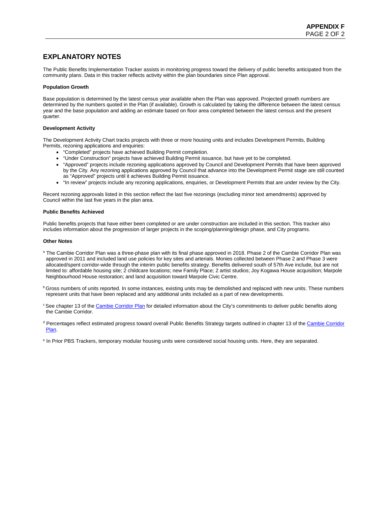## **EXPLANATORY NOTES**

The Public Benefits Implementation Tracker assists in monitoring progress toward the delivery of public benefits anticipated from the community plans. Data in this tracker reflects activity within the plan boundaries since Plan approval.

#### **Population Growth**

Base population is determined by the latest census year available when the Plan was approved. Projected growth numbers are determined by the numbers quoted in the Plan (if available). Growth is calculated by taking the difference between the latest census year and the base population and adding an estimate based on floor area completed between the latest census and the present quarter.

#### **Development Activity**

The Development Activity Chart tracks projects with three or more housing units and includes Development Permits, Building Permits, rezoning applications and enquiries:

- "Completed" projects have achieved Building Permit completion.
- "Under Construction" projects have achieved Building Permit issuance, but have yet to be completed.
- "Approved" projects include rezoning applications approved by Council and Development Permits that have been approved by the City. Any rezoning applications approved by Council that advance into the Development Permit stage are still counted as "Approved" projects until it achieves Building Permit issuance.
- "In review" projects include any rezoning applications, enquiries, or Development Permits that are under review by the City.

Recent rezoning approvals listed in this section reflect the last five rezonings (excluding minor text amendments) approved by Council within the last five years in the plan area.

#### **Public Benefits Achieved**

Public benefits projects that have either been completed or are under construction are included in this section. This tracker also includes information about the progression of larger projects in the scoping/planning/design phase, and City programs.

#### **Other Notes**

- a The Cambie Corridor Plan was a three-phase plan with its final phase approved in 2018. Phase 2 of the Cambie Corridor Plan was approved in 2011 and included land use policies for key sites and arterials. Monies collected between Phase 2 and Phase 3 were allocated/spent corridor-wide through the interim public benefits strategy. Benefits delivered south of 57th Ave include, but are not limited to: affordable housing site; 2 childcare locations; new Family Place; 2 artist studios; Joy Kogawa House acquisition; Marpole Neighbourhood House restoration; and land acquisition toward Marpole Civic Centre.
- **b** Gross numbers of units reported. In some instances, existing units may be demolished and replaced with new units. These numbers represent units that have been replaced and any additional units included as a part of new developments.
- <sup>c</sup> See chapter 13 of the [Cambie Corridor Plan](http://vancouver.ca/images/web/cambie-corridor/proposed-cambie-corridor-plan.pdf) for detailed information about the City's commitments to deliver public benefits along the Cambie Corridor.
- <sup>d</sup> Percentages reflect estimated progress toward overall Public Benefits Strategy targets outlined in chapter 13 of the Cambie Corridor [Plan.](http://vancouver.ca/images/web/cambie-corridor/proposed-cambie-corridor-plan.pdf)
- <sup>e</sup> In Prior PBS Trackers, temporary modular housing units were considered social housing units. Here, they are separated.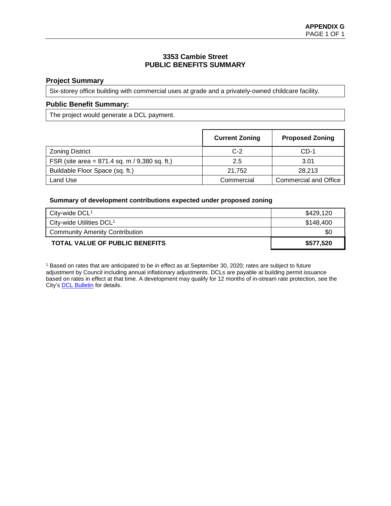## **3353 Cambie Street PUBLIC BENEFITS SUMMARY**

#### **Project Summary**

Six-storey office building with commercial uses at grade and a privately-owned childcare facility.

#### **Public Benefit Summary:**

The project would generate a DCL payment.

|                                                   | <b>Current Zoning</b> | <b>Proposed Zoning</b> |
|---------------------------------------------------|-----------------------|------------------------|
| <b>Zoning District</b>                            | $C-2$                 | $CD-1$                 |
| FSR (site area = $871.4$ sq. m $/$ 9,380 sq. ft.) | 2.5                   | 3.01                   |
| Buildable Floor Space (sq. ft.)                   | 21.752                | 28.213                 |
| Land Use                                          | Commercial            | Commercial and Office  |

#### **Summary of development contributions expected under proposed zoning**

| City-wide $DCL1$                      | \$429,120 |
|---------------------------------------|-----------|
| City-wide Utilities DCL <sup>1</sup>  | \$148,400 |
| <b>Community Amenity Contribution</b> | \$0       |
| <b>TOTAL VALUE OF PUBLIC BENEFITS</b> | \$577,520 |

<sup>1</sup> Based on rates that are anticipated to be in effect as at September 30, 2020; rates are subject to future adjustment by Council including annual inflationary adjustments. DCLs are payable at building permit issuance based on rates in effect at that time. A development may qualify for 12 months of in-stream rate protection, see the City'[s DCL Bulletin](http://vancouver.ca/files/cov/Development-Cost-Levies-Bulletin.pdf) for details.